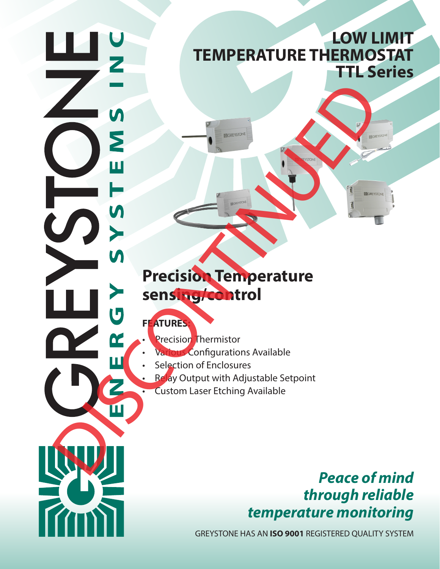# **LOW LIMIT TEMPERATURE THERMOSTAT TTL Series**

# **Precision Temperature sensing/control** DE LA CARRE DE LA CARRE DE LA CARRE DE LA CARRE DE LA CARRE DE LA CARRE DE LA CARRE DE LA CARRE DE LA CARRE DE LA CARRE ET ET ching Available

## **FEATURES:**

- **Precision Thermistor**
- Various Configurations Available
- Selection of Enclosures
	- Relay Output with Adjustable Setpoint
	- Custom Laser Etching Available

# *Peace of mind through reliable temperature monitoring*

GREYSTONE HAS AN **ISO 9001** REGISTERED QUALITY SYSTEM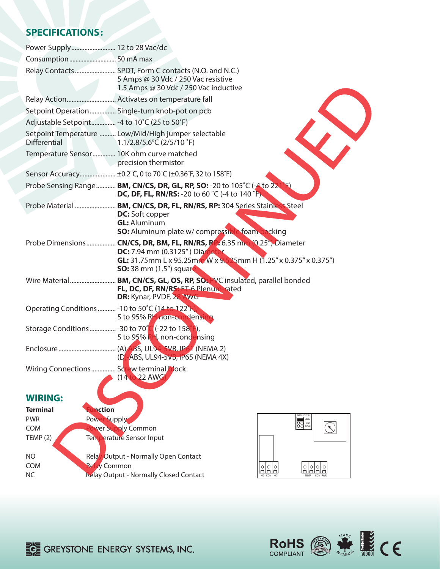### **SPECIFICATIONS:**

|                     | Power Supply 12 to 28 Vac/dc                                                                                                                                                                                                 |
|---------------------|------------------------------------------------------------------------------------------------------------------------------------------------------------------------------------------------------------------------------|
|                     |                                                                                                                                                                                                                              |
|                     | Relay Contacts SPDT, Form C contacts (N.O. and N.C.)<br>5 Amps @ 30 Vdc / 250 Vac resistive<br>1.5 Amps @ 30 Vdc / 250 Vac inductive                                                                                         |
|                     |                                                                                                                                                                                                                              |
|                     | Setpoint Operation Single-turn knob-pot on pcb                                                                                                                                                                               |
|                     | Adjustable Setpoint -4 to 10°C (25 to 50°F)                                                                                                                                                                                  |
| <b>Differential</b> | Setpoint Temperature  Low/Mid/High jumper selectable<br>1.1/2.8/5.6°C (2/5/10 °F)                                                                                                                                            |
|                     | Temperature Sensor 10K ohm curve matched<br>precision thermistor                                                                                                                                                             |
|                     | Sensor Accuracy ±0.2°C, 0 to 70°C (±0.36°F, 32 to 158°F)                                                                                                                                                                     |
|                     | Probe Sensing Range <b>BM, CN/CS, DR, GL, RP, SO:</b> -20 to 105°C (-4 to 221<br><b>DC, DF, FL, RN/RS:</b> -20 to 60 °C (-4 to 140 °F)                                                                                       |
|                     | <b>DC:</b> Soft copper<br><b>GL: Aluminum</b><br><b>SO:</b> Aluminum plate w/ compressible foam backing                                                                                                                      |
|                     | Probe Dimensions CN/CS, DR, BM, FL, RN/RS, RP. 6.35 mm (0.25") Diameter<br><b>DC:</b> 7.94 mm (0.3125") Diameter<br><b>GL:</b> 31.75mm L x 95.25mm W x 9.525mm H (1.25" x 0.375" x 0.375")<br><b>SO:</b> 38 mm (1.5") square |
|                     | FL, DC, DF, RN/RS: FT-6 Plenum-rated<br>DR: Kynar, PVDF, 28 AWG                                                                                                                                                              |
|                     | Operating Conditions  - 10 to 50°C (14 to 122°F)<br>5 to 95% RH non-condensing                                                                                                                                               |
|                     | Storage Conditions  - 30 to 70°C (-22 to 158°F),<br>5 to 95% RH, non-condensing                                                                                                                                              |
|                     | (D)-ABS, UL94-5vB, IP65 (NEMA 4X)                                                                                                                                                                                            |
|                     | Wiring Connections Screw terminal block<br>(14 to 22 AWG)                                                                                                                                                                    |
| <b>WIRING:</b>      |                                                                                                                                                                                                                              |
| <b>Terminal</b>     | unction                                                                                                                                                                                                                      |
| <b>PWR</b>          | DIFFERENTIAL<br><b>Power Supply</b><br><b>100 LOW</b>                                                                                                                                                                        |
| <b>COM</b>          | $\left(\bigwedge\right)$<br>wer Supply Common                                                                                                                                                                                |
| TEMP(2)             | <b>Temperature Sensor Input</b>                                                                                                                                                                                              |
| NO                  | Relay Output - Normally Open Contact                                                                                                                                                                                         |
| <b>COM</b>          | Relay Common<br><u>lalalal</u><br><u>lelelel</u><br>Lalala                                                                                                                                                                   |
| <b>NC</b>           | Relay Output - Normally Closed Contact<br>NO COM NC<br>TEMP COM PWR                                                                                                                                                          |

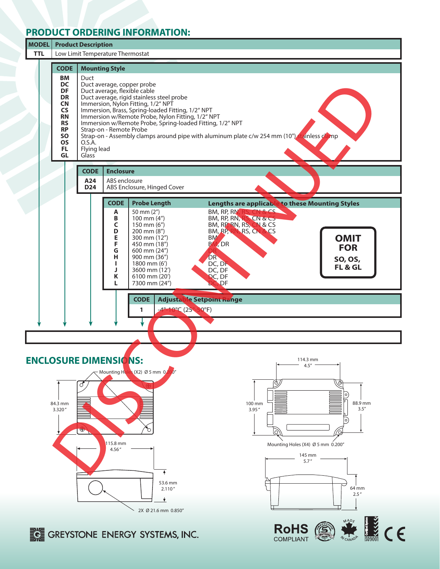### **PRODUCT ORDERING INFORMATION:**